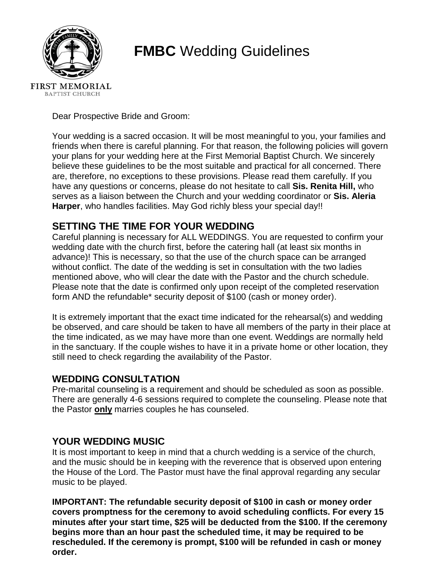

# **FMBC** Wedding Guidelines

Dear Prospective Bride and Groom:

Your wedding is a sacred occasion. It will be most meaningful to you, your families and friends when there is careful planning. For that reason, the following policies will govern your plans for your wedding here at the First Memorial Baptist Church. We sincerely believe these guidelines to be the most suitable and practical for all concerned. There are, therefore, no exceptions to these provisions. Please read them carefully. If you have any questions or concerns, please do not hesitate to call **Sis. Renita Hill,** who serves as a liaison between the Church and your wedding coordinator or **Sis. Aleria Harper**, who handles facilities. May God richly bless your special day!!

# **SETTING THE TIME FOR YOUR WEDDING**

Careful planning is necessary for ALL WEDDINGS. You are requested to confirm your wedding date with the church first, before the catering hall (at least six months in advance)! This is necessary, so that the use of the church space can be arranged without conflict. The date of the wedding is set in consultation with the two ladies mentioned above, who will clear the date with the Pastor and the church schedule. Please note that the date is confirmed only upon receipt of the completed reservation form AND the refundable\* security deposit of \$100 (cash or money order).

It is extremely important that the exact time indicated for the rehearsal(s) and wedding be observed, and care should be taken to have all members of the party in their place at the time indicated, as we may have more than one event. Weddings are normally held in the sanctuary. If the couple wishes to have it in a private home or other location, they still need to check regarding the availability of the Pastor.

# **WEDDING CONSULTATION**

Pre-marital counseling is a requirement and should be scheduled as soon as possible. There are generally 4-6 sessions required to complete the counseling. Please note that the Pastor **only** marries couples he has counseled.

# **YOUR WEDDING MUSIC**

It is most important to keep in mind that a church wedding is a service of the church, and the music should be in keeping with the reverence that is observed upon entering the House of the Lord. The Pastor must have the final approval regarding any secular music to be played.

**IMPORTANT: The refundable security deposit of \$100 in cash or money order covers promptness for the ceremony to avoid scheduling conflicts. For every 15 minutes after your start time, \$25 will be deducted from the \$100. If the ceremony begins more than an hour past the scheduled time, it may be required to be rescheduled. If the ceremony is prompt, \$100 will be refunded in cash or money order.**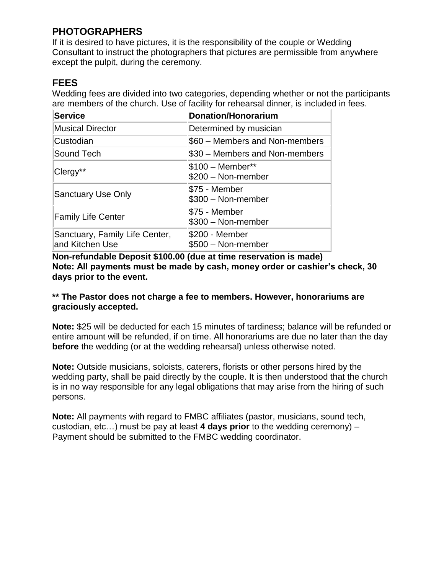# **PHOTOGRAPHERS**

If it is desired to have pictures, it is the responsibility of the couple or Wedding Consultant to instruct the photographers that pictures are permissible from anywhere except the pulpit, during the ceremony.

# **FEES**

Wedding fees are divided into two categories, depending whether or not the participants are members of the church. Use of facility for rehearsal dinner, is included in fees.

| <b>Service</b>                                    | <b>Donation/Honorarium</b>               |
|---------------------------------------------------|------------------------------------------|
| <b>Musical Director</b>                           | Determined by musician                   |
| Custodian                                         | \$60 – Members and Non-members           |
| Sound Tech                                        | \$30 - Members and Non-members           |
| Clergy**                                          | $$100 - Member**$<br>$$200 - Non-member$ |
| <b>Sanctuary Use Only</b>                         | \$75 - Member<br>$$300 - Non-member$     |
| <b>Family Life Center</b>                         | \$75 - Member<br>$$300 - Non-member$     |
| Sanctuary, Family Life Center,<br>and Kitchen Use | \$200 - Member<br>\$500 - Non-member     |

**Non-refundable Deposit \$100.00 (due at time reservation is made) Note: All payments must be made by cash, money order or cashier's check, 30 days prior to the event.**

#### **\*\* The Pastor does not charge a fee to members. However, honorariums are graciously accepted.**

**Note:** \$25 will be deducted for each 15 minutes of tardiness; balance will be refunded or entire amount will be refunded, if on time. All honorariums are due no later than the day **before** the wedding (or at the wedding rehearsal) unless otherwise noted.

**Note:** Outside musicians, soloists, caterers, florists or other persons hired by the wedding party, shall be paid directly by the couple. It is then understood that the church is in no way responsible for any legal obligations that may arise from the hiring of such persons.

**Note:** All payments with regard to FMBC affiliates (pastor, musicians, sound tech, custodian, etc…) must be pay at least **4 days prior** to the wedding ceremony) – Payment should be submitted to the FMBC wedding coordinator.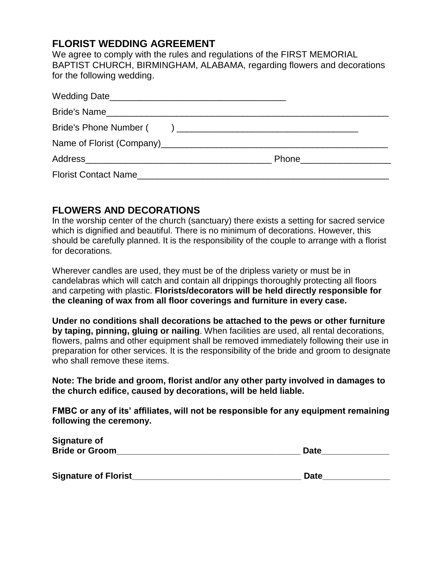# **FLORIST WEDDING AGREEMENT**

We agree to comply with the rules and regulations of the FIRST MEMORIAL BAPTIST CHURCH, BIRMINGHAM, ALABAMA, regarding flowers and decorations for the following wedding.

| Florist Contact Name |  |
|----------------------|--|

# **FLOWERS AND DECORATIONS**

In the worship center of the church (sanctuary) there exists a setting for sacred service which is dignified and beautiful. There is no minimum of decorations. However, this should be carefully planned. It is the responsibility of the couple to arrange with a florist for decorations.

Wherever candles are used, they must be of the dripless variety or must be in candelabras which will catch and contain all drippings thoroughly protecting all floors and carpeting with plastic. **Florists/decorators will be held directly responsible for the cleaning of wax from all floor coverings and furniture in every case.** 

**Under no conditions shall decorations be attached to the pews or other furniture by taping, pinning, gluing or nailing**. When facilities are used, all rental decorations, flowers, palms and other equipment shall be removed immediately following their use in preparation for other services. It is the responsibility of the bride and groom to designate who shall remove these items.

**Note: The bride and groom, florist and/or any other party involved in damages to the church edifice, caused by decorations, will be held liable.** 

**FMBC or any of its' affiliates, will not be responsible for any equipment remaining following the ceremony.**

| <b>Signature of</b>         |             |
|-----------------------------|-------------|
| <b>Bride or Groom</b>       | <b>Date</b> |
|                             |             |
| <b>Signature of Florist</b> | <b>Date</b> |